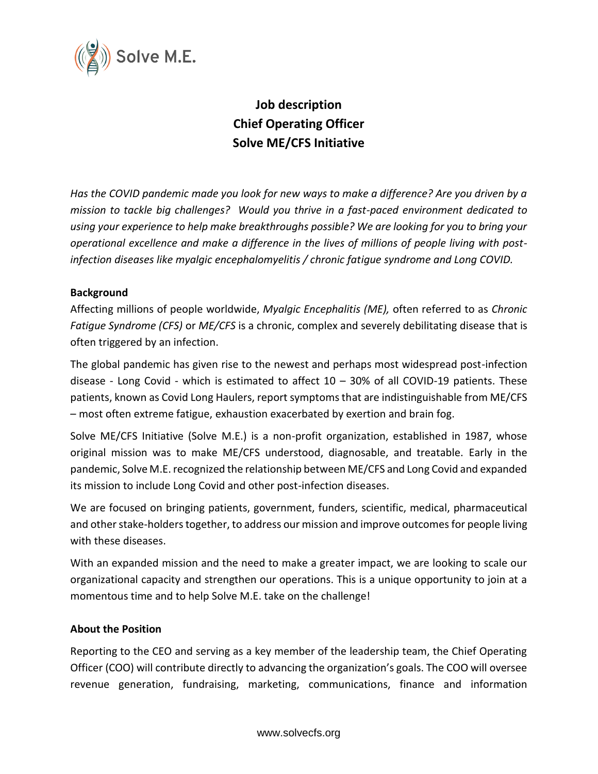

# **Job description Chief Operating Officer Solve ME/CFS Initiative**

*Has the COVID pandemic made you look for new ways to make a difference? Are you driven by a mission to tackle big challenges? Would you thrive in a fast-paced environment dedicated to using your experience to help make breakthroughs possible? We are looking for you to bring your operational excellence and make a difference in the lives of millions of people living with postinfection diseases like myalgic encephalomyelitis / chronic fatigue syndrome and Long COVID.* 

## **Background**

Affecting millions of people worldwide, *Myalgic Encephalitis (ME),* often referred to as *Chronic Fatigue Syndrome (CFS)* or *ME/CFS* is a chronic, complex and severely debilitating disease that is often triggered by an infection.

The global pandemic has given rise to the newest and perhaps most widespread post-infection disease - Long Covid - which is estimated to affect  $10 - 30\%$  of all COVID-19 patients. These patients, known as Covid Long Haulers, report symptoms that are indistinguishable from ME/CFS – most often extreme fatigue, exhaustion exacerbated by exertion and brain fog.

Solve ME/CFS Initiative (Solve M.E.) is a non-profit organization, established in 1987, whose original mission was to make ME/CFS understood, diagnosable, and treatable. Early in the pandemic, Solve M.E. recognized the relationship between ME/CFS and Long Covid and expanded its mission to include Long Covid and other post-infection diseases.

We are focused on bringing patients, government, funders, scientific, medical, pharmaceutical and other stake-holders together, to address our mission and improve outcomes for people living with these diseases.

With an expanded mission and the need to make a greater impact, we are looking to scale our organizational capacity and strengthen our operations. This is a unique opportunity to join at a momentous time and to help Solve M.E. take on the challenge!

## **About the Position**

Reporting to the CEO and serving as a key member of the leadership team, the Chief Operating Officer (COO) will contribute directly to advancing the organization's goals. The COO will oversee revenue generation, fundraising, marketing, communications, finance and information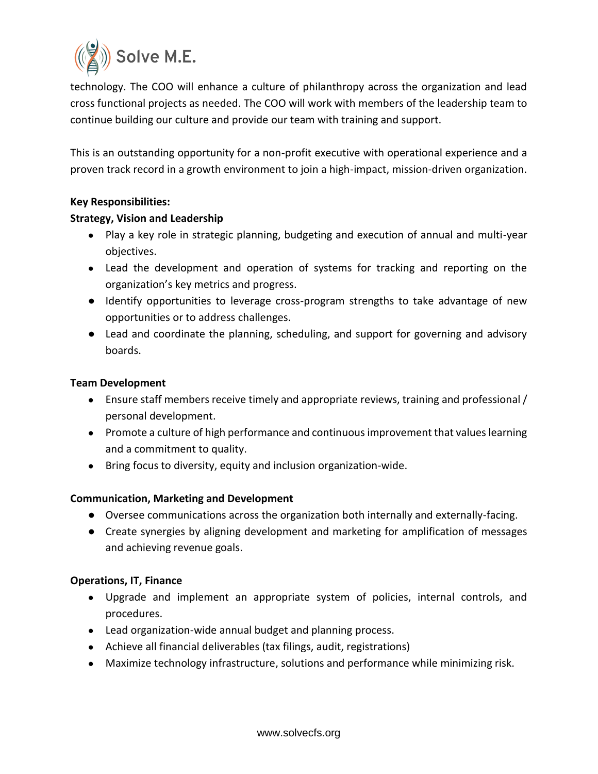

technology. The COO will enhance a culture of philanthropy across the organization and lead cross functional projects as needed. The COO will work with members of the leadership team to continue building our culture and provide our team with training and support.

This is an outstanding opportunity for a non-profit executive with operational experience and a proven track record in a growth environment to join a high-impact, mission-driven organization.

## **Key Responsibilities:**

## **Strategy, Vision and Leadership**

- Play a key role in strategic planning, budgeting and execution of annual and multi-year objectives.
- Lead the development and operation of systems for tracking and reporting on the organization's key metrics and progress.
- Identify opportunities to leverage cross-program strengths to take advantage of new opportunities or to address challenges.
- Lead and coordinate the planning, scheduling, and support for governing and advisory boards.

## **Team Development**

- Ensure staff members receive timely and appropriate reviews, training and professional / personal development.
- Promote a culture of high performance and continuous improvement that values learning and a commitment to quality.
- Bring focus to diversity, equity and inclusion organization-wide.

## **Communication, Marketing and Development**

- Oversee communications across the organization both internally and externally-facing.
- Create synergies by aligning development and marketing for amplification of messages and achieving revenue goals.

## **Operations, IT, Finance**

- Upgrade and implement an appropriate system of policies, internal controls, and procedures.
- Lead organization-wide annual budget and planning process.
- Achieve all financial deliverables (tax filings, audit, registrations)
- Maximize technology infrastructure, solutions and performance while minimizing risk.